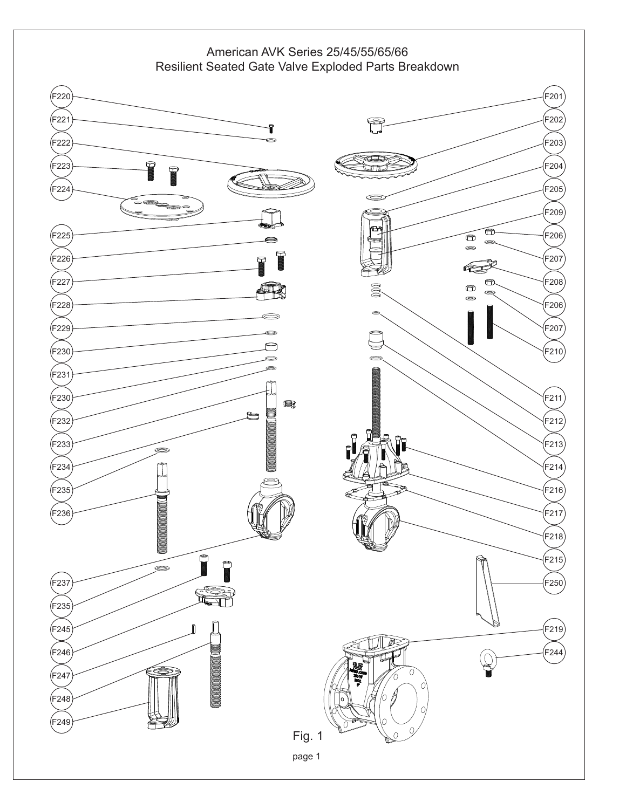